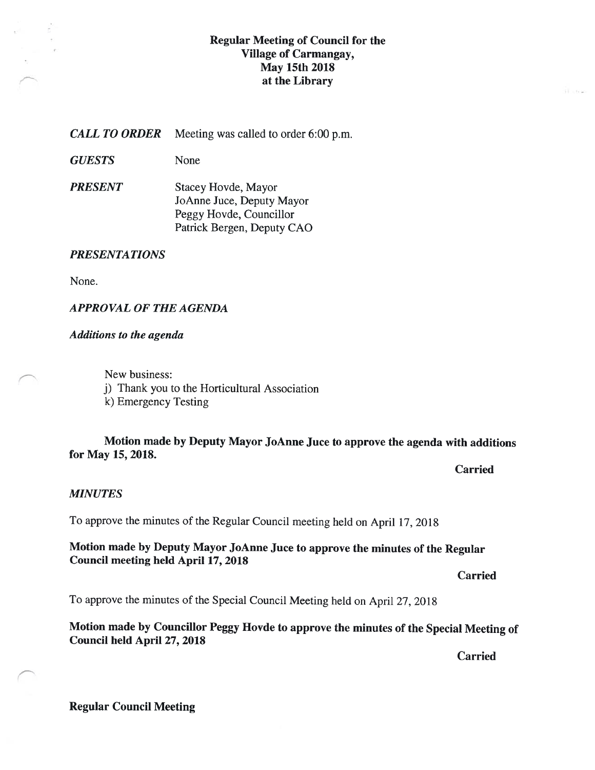### Regular Meeting of Council for the Village of Carmangay, May 15th 2018 at the Library

**CALL TO ORDER** Meeting was called to order 6:00 p.m.

GUESTS None

**PRESENT** Stacey Hovde, Mayor JoAnne Juce, Deputy Mayor Peggy Hovde, Councillor Patrick Bergen, Deputy CAO

#### PRESENTATIONS

None.

### APPROVAL Of THE AGENDA

#### Additions to the agenda

New business: j) Thank you to the Horticultural Association k) Emergency Testing

### Motion made by Deputy Mayor JoAnne Juce to approve the agenda with additions for May 15, 2018.

Carried

#### **MINUTES**

To approve the minutes of the Regular Council meeting held on April 17, 201\$

Motion made by Deputy Mayor JoAnne Juce to approve the minutes of the Regular Council meeting held April 17, 2018

Carried

To approve the minutes of the Special Council Meeting held on April 27, 201\$

Motion made by Councillor Peggy Hovde to approve the minutes of the Special Meeting of Council held April 27, 2018

Carried

### Regular Council Meeting

**STORY**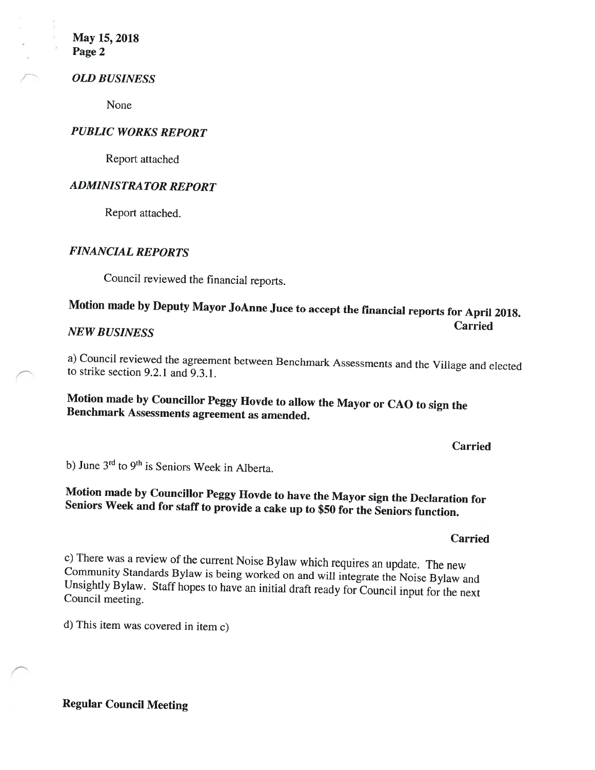May 15, 2018 Page 2

#### OLD BUSINESS

None

### PUBLIC WORKS REPORT

Report attached

### ADMINISTRATOR REPORT

Report attached.

### FINANCIAL REPORTS

Council reviewed the financial reports.

### Motion made by Deputy Mayor JoAnne Juce to accept the financial reports for April 2018. Carried NEW BUSINESS

a) Council reviewed the agreement between Benchmark Assessments and the Village and elected to strike section 9.2.1 and 9.3.1.

# Motion made by Councillor Peggy Hovde to allow the Mayor or CAO to sign the Benchmark Assessments agreement as amended.

Carried

b) June  $3<sup>rd</sup>$  to  $9<sup>th</sup>$  is Seniors Week in Alberta.

# Motion made by Councillor Peggy Hovde to have the Mayor sign the Declaration for Seniors Week and for staff to provide <sup>a</sup> cake up to \$50 for the Seniors function.

#### Carried

c) There was <sup>a</sup> review of the current Noise Bylaw which requires an update. The new Community Standards Bylaw is being worked on and will integrate the Noise Bylaw and Unsightly Bylaw. Staff hopes to have an initial draft ready for Council input for the next Council meeting.

d) This item was covered in item c)

Regular Council Meeting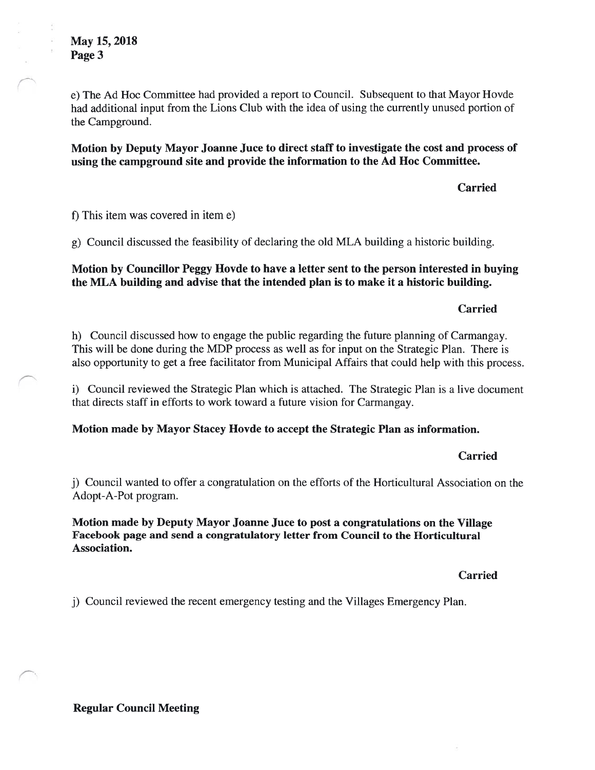e) The Ad Hoc Committee had provided a report to Council. Subsequent to that Mayor Hovde had additional input from the Lions Club with the idea of using the currently unused portion of the Campground.

Motion by Deputy Mayor Joanne Juce to direct staff to investigate the cost and process of using the campground site and provide the information to the Ad Hoc Committee.

Carried

f) This item was covered in item e)

g) Council discussed the feasibility of declaring the old MLA building a historic building.

### Motion by Councillor Peggy Hovde to have a letter sent to the person interested in buying the MLA building and advise that the intended plan is to make it a historic building.

### Carried

h) Council discussed how to engage the public regarding the future planning of Carmangay. This will be done during the MDP process as well as for input on the Strategic Plan. There is also opportunity to get a free facilitator from Municipal Affairs that could help with this process.

i) Council reviewed the Strategic Plan which is attached. The Strategic Plan is a live document that directs staff in efforts to work toward a future vision for Carmangay.

Motion made by Mayor Stacey Hovde to accept the Strategic Plan as information.

### Carried

j) Council wanted to offer a congratulation on the efforts of the Horticultural Association on the Adopt-A-Pot program.

Motion made by Deputy Mayor Joanne Juce to post a congratulations on the Village Facebook page and send a congratulatory letter from Council to the Horticultural Association.

Carried

j) Council reviewed the recent emergency testing and the Villages Emergency Plan.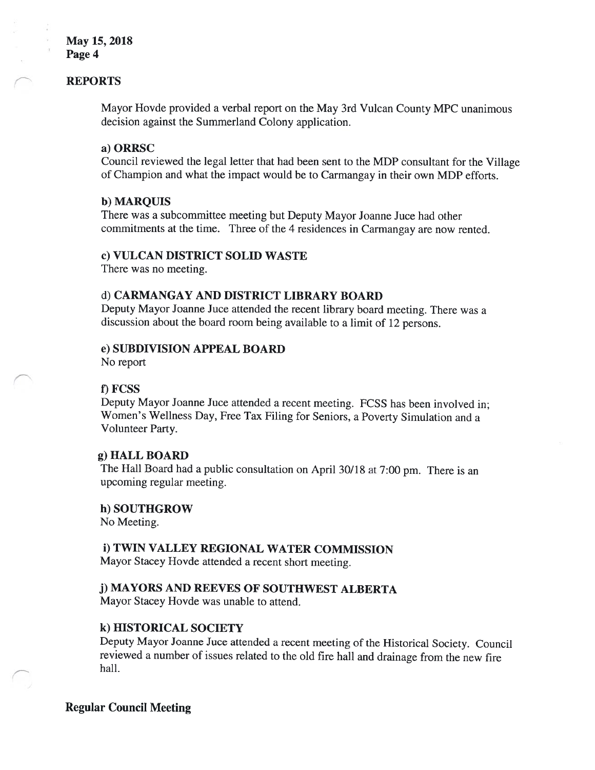### May 15, 2018 Page 4

#### REPORTS

Mayor Hovde provided a verbal report on the May 3rd Vulcan County MPC unanimous decision against the Summerland Colony application.

#### a) ORRSC

Council reviewed the legal letter that had been sent to the MDP consultant for the Village of Champion and what the impact would be to Carmangay in their own MDP efforts.

#### b) MARQUIS

There was a subcommittee meeting but Deputy Mayor Joanne Juce had other commitments at the time. Three of the 4 residences in Carmangay are now rented.

#### c) VULCAN DISTRICT SOLID WASTE

There was no meeting.

### d) CARMANGAY AND DISTRICT LIBRARY BOARD

Deputy Mayor Joanne Juce attended the recent library board meeting. There was a discussion about the board room being available to a limit of 12 persons.

#### e) SUBDIVISION APPEAL BOARD

No report

#### 1) FCSS

Deputy Mayor Joanne Juce attended <sup>a</sup> recent meeting. FCSS has been involved in; Women's Wellness Day, Free Tax Filing for Seniors, a Poverty Simulation and a Volunteer Party.

#### g) HALL BOARD

The Hall Board had a public consultation on April 30/18 at 7:00 pm. There is an upcoming regular meeting.

#### h) SOUTHGROW

No Meeting.

### 1) TWIN VALLEY REGIONAL WATER COMMISSION

Mayor Stacey Hovde attended a recent short meeting.

#### j) MAYORS AND REEVES Of SOUTHWEST ALBERTA

Mayor Stacey Hovde was unable to attend.

#### k) HISTORICAL SOCIETY

Deputy Mayor Joanne Juce attended <sup>a</sup> recent meeting of the Historical Society. Council reviewed a number of issues related to the old fire hail and drainage from the new fire hall.

#### Regular Council Meeting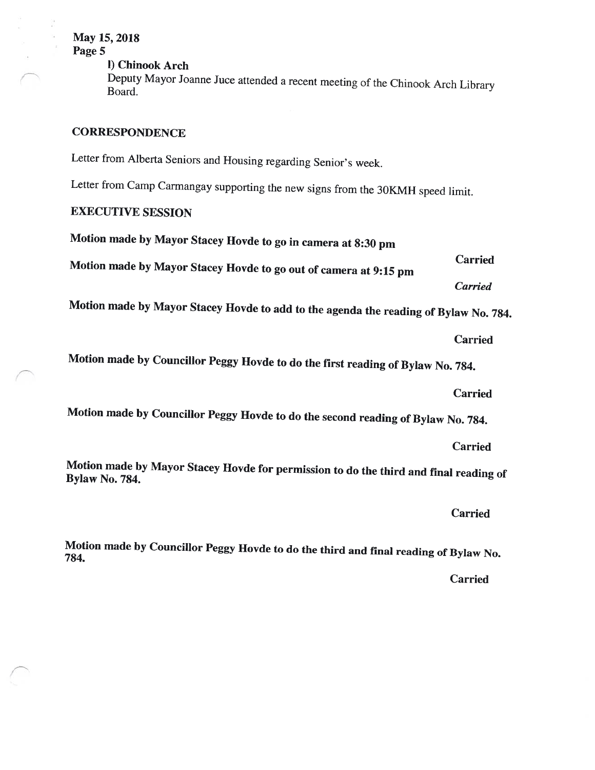May 15, 2018 Page 5 I) Chinook Arch Deputy Mayor Joanne Juce attended <sup>a</sup> recent meeting of the Chinook Arch Library Board. **CORRESPONDENCE** Letter from Alberta Seniors and Housing regarding Senior's week. Letter from Camp Carmangay supporting the new signs from the 3OKMH speed limit. EXECUTIVE SESSION Motion made by Mayor Stacey Hovde to go in camera at 8:30 pm Carried Motion made by Mayor Stacey Hovde to go out of camera at 9:15 pm Carried Motion made by Mayor Stacey Hovde to add to the agenda the reading of Bylaw No. 784. Carried Motion made by Councillor Peggy Hovde to do the first reading of Bylaw No. 784.

Carried

Motion made by Councillor Peggy Hovde to do the second reading of Bylaw No. 784.

Carried

Motion made by Mayor Stacey Hovde for permission to do the third and final reading of Bylaw No. 784.

Carried

Motion made by Councillor Peggy Hovde to do the third and final reading of Bylaw No. 784.

Carried